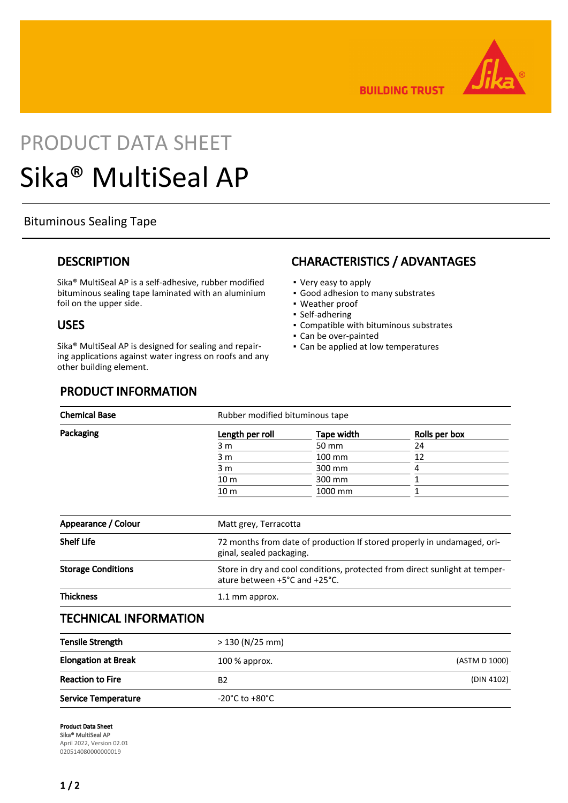

**BUILDING TRUST** 

# PRODUCT DATA SHEET Sika® MultiSeal AP

## Bituminous Sealing Tape

## **DESCRIPTION**

Sika® MultiSeal AP is a self-adhesive, rubber modified bituminous sealing tape laminated with an aluminium foil on the upper side.

#### USES

Sika® MultiSeal AP is designed for sealing and repairing applications against water ingress on roofs and any other building element.

## CHARACTERISTICS / ADVANTAGES

- Very easy to apply
- Good adhesion to many substrates
- Weather proof
- Self-adhering
- Compatible with bituminous substrates
- Can be over-painted
- Can be applied at low temperatures

## PRODUCT INFORMATION

| <b>Chemical Base</b> | Rubber modified bituminous tape |            |               |  |
|----------------------|---------------------------------|------------|---------------|--|
| Packaging            | Length per roll                 | Tape width | Rolls per box |  |
|                      | 3 m                             | 50 mm      | 24            |  |
|                      | 3 m                             | 100 mm     | 12            |  |
|                      | 3 m                             | 300 mm     |               |  |
|                      | 10 <sub>m</sub>                 | 300 mm     |               |  |
|                      | 10 <sub>m</sub>                 | 1000 mm    |               |  |
|                      |                                 |            |               |  |
| Appearance / Colour  | Matt grey, Terracotta           |            |               |  |

| <b>Shelf Life</b>         | 72 months from date of production If stored properly in undamaged, ori-<br>ginal, sealed packaging.          |
|---------------------------|--------------------------------------------------------------------------------------------------------------|
| <b>Storage Conditions</b> | Store in dry and cool conditions, protected from direct sunlight at temper-<br>ature between +5°C and +25°C. |
| <b>Thickness</b>          | 1.1 mm approx.                                                                                               |

## TECHNICAL INFORMATION

| <b>Tensile Strength</b>    | > 130 (N/25 mm)                    |               |
|----------------------------|------------------------------------|---------------|
| <b>Elongation at Break</b> | $100\%$ approx.                    | (ASTM D 1000) |
| <b>Reaction to Fire</b>    | B2                                 | (DIN 4102)    |
| <b>Service Temperature</b> | $-20^{\circ}$ C to $+80^{\circ}$ C |               |

Product Data Sheet Sika® MultiSeal AP April 2022, Version 02.01 020514080000000019